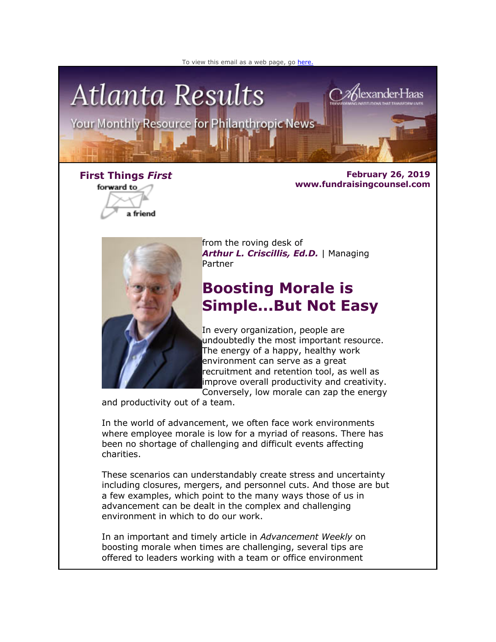



forward to a friend

**First Things** *First* **February 26, 2019 www.fundraisingcounsel.com**



from the roving desk of *Arthur L. Criscillis, Ed.D.* | Managing Partner

# **Boosting Morale is Simple...But Not Easy**

In every organization, people are undoubtedly the most important resource. The energy of a happy, healthy work environment can serve as a great recruitment and retention tool, as well as improve overall productivity and creativity. Conversely, low morale can zap the energy

and productivity out of a team.

In the world of advancement, we often face work environments where employee morale is low for a myriad of reasons. There has been no shortage of challenging and difficult events affecting charities.

These scenarios can understandably create stress and uncertainty including closures, mergers, and personnel cuts. And those are but a few examples, which point to the many ways those of us in advancement can be dealt in the complex and challenging environment in which to do our work.

In an important and timely article in *Advancement Weekly* on boosting morale when times are challenging, several tips are offered to leaders working with a team or office environment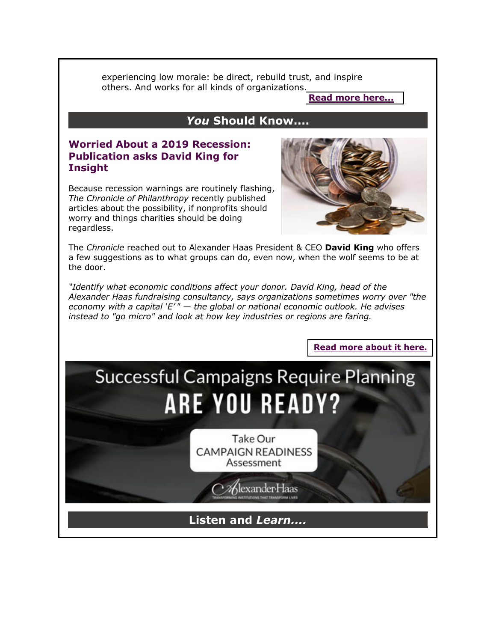experiencing low morale: be direct, rebuild trust, and inspire others. And works for all kinds of organizations.

**[Read more here...](http://fundraisingcounsel.com/boosting-morale-is-simple-but-not-easy/)**

## *You* **Should Know....**

#### **Worried About a 2019 Recession: Publication asks David King for Insight**

Because recession warnings are routinely flashing, *The Chronicle of Philanthropy* recently published articles about the possibility, if nonprofits should worry and things charities should be doing regardless.



**[Read more about it here.](http://fundraisingcounsel.com/hard-times-hard-decisions-7-things-small-and-midsize-charities-should-do-when-a-recession-looms/)**

The *Chronicle* reached out to Alexander Haas President & CEO **David King** who offers a few suggestions as to what groups can do, even now, when the wolf seems to be at the door.

*"Identify what economic conditions affect your donor. David King, head of the Alexander Haas fundraising consultancy, says organizations sometimes worry over "the economy with a capital 'E' " — the global or national economic outlook. He advises instead to "go micro" and look at how key industries or regions are faring.*

# **Successful Campaigns Require Planning ARE YOU READY?**

Take Our **CAMPAIGN READINESS** Assessment

Alexander Haas

# **Listen and** *Learn....*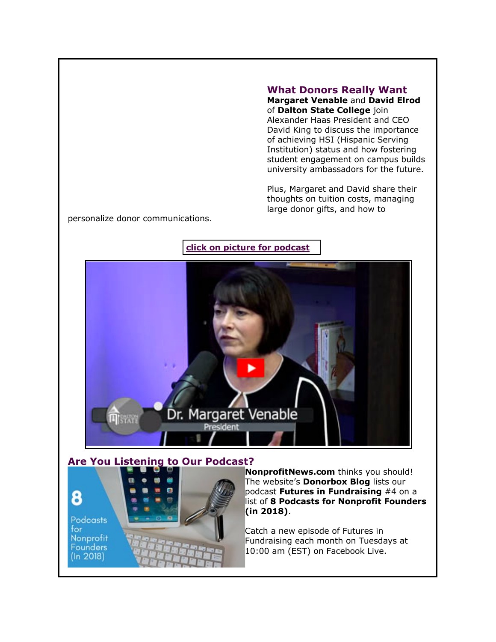#### **What Donors Really Want**

**Margaret Venable** and **David Elrod** of **Dalton State College** join Alexander Haas President and CEO David King to discuss the importance of achieving HSI (Hispanic Serving Institution) status and how fostering student engagement on campus builds university ambassadors for the future.

Plus, Margaret and David share their thoughts on tuition costs, managing large donor gifts, and how to

personalize donor communications.

#### **[click on picture for podcast](http://fundraisingcounsel.com/culture-on-campus-dalton-states-david-elrod-and-margaret-venable-talk-student-engagement-and-donor-communications/)**



#### **Are You Listening to Our Podcast?**



**NonprofitNews.com** thinks you should! The website's **Donorbox Blog** lists our podcast **Futures in Fundraising** #4 on a list of **8 Podcasts for Nonprofit Founders (in 2018)**.

Catch a new episode of Futures in Fundraising each month on Tuesdays at 10:00 am (EST) on Facebook Live.